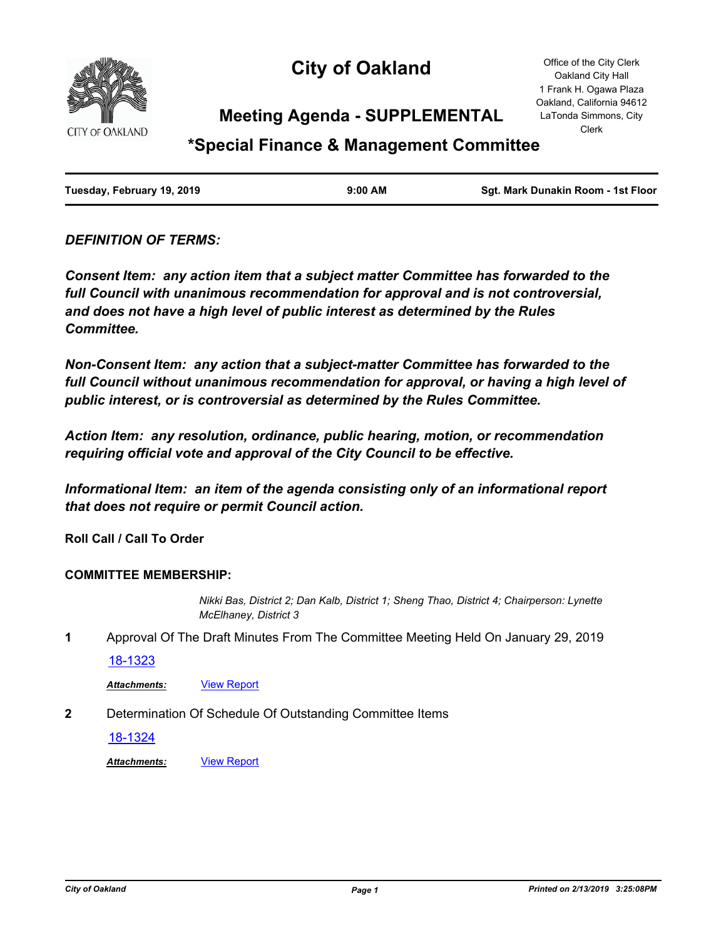

# **City of Oakland**

Office of the City Clerk Oakland City Hall 1 Frank H. Ogawa Plaza Oakland, California 94612 LaTonda Simmons, City Clerk

### **Meeting Agenda - SUPPLEMENTAL**

## **\*Special Finance & Management Committee**

| Tuesday, February 19, 2019 | $9:00$ AM | Sqt. Mark Dunakin Room - 1st Floor |
|----------------------------|-----------|------------------------------------|
|                            |           |                                    |

*DEFINITION OF TERMS:*

*Consent Item: any action item that a subject matter Committee has forwarded to the full Council with unanimous recommendation for approval and is not controversial, and does not have a high level of public interest as determined by the Rules Committee.*

*Non-Consent Item: any action that a subject-matter Committee has forwarded to the*  full Council without unanimous recommendation for approval, or having a high level of *public interest, or is controversial as determined by the Rules Committee.*

*Action Item: any resolution, ordinance, public hearing, motion, or recommendation requiring official vote and approval of the City Council to be effective.*

*Informational Item: an item of the agenda consisting only of an informational report that does not require or permit Council action.*

**Roll Call / Call To Order**

#### **COMMITTEE MEMBERSHIP:**

*Nikki Bas, District 2; Dan Kalb, District 1; Sheng Thao, District 4; Chairperson: Lynette McElhaney, District 3*

**1** Approval Of The Draft Minutes From The Committee Meeting Held On January 29, 2019

[18-1323](http://oakland.legistar.com/gateway.aspx?m=l&id=/matter.aspx?key=29749)

*Attachments:* [View Report](http://oakland.legistar.com/gateway.aspx?M=F&ID=84ed0ca6-0f60-49cc-864e-43a2e74477fc.pdf)

**2** Determination Of Schedule Of Outstanding Committee Items

[18-1324](http://oakland.legistar.com/gateway.aspx?m=l&id=/matter.aspx?key=29750)

*Attachments:* [View Report](http://oakland.legistar.com/gateway.aspx?M=F&ID=7ff6c6b1-99de-4b3a-8a32-b2cc6671b6b8.pdf)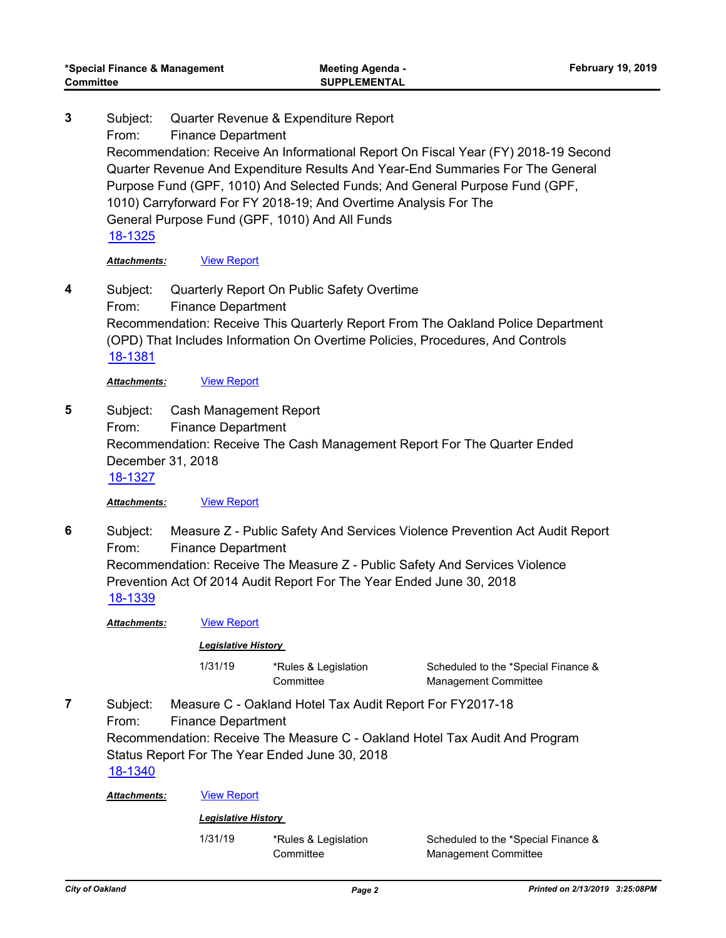Subject: Quarter Revenue & Expenditure Report From: Finance Department Recommendation: Receive An Informational Report On Fiscal Year (FY) 2018-19 Second Quarter Revenue And Expenditure Results And Year-End Summaries For The General Purpose Fund (GPF, 1010) And Selected Funds; And General Purpose Fund (GPF, 1010) Carryforward For FY 2018-19; And Overtime Analysis For The General Purpose Fund (GPF, 1010) And All Funds **3** [18-1325](http://oakland.legistar.com/gateway.aspx?m=l&id=/matter.aspx?key=29751)

*Attachments:* [View Report](http://oakland.legistar.com/gateway.aspx?M=F&ID=678ed753-e311-4cbb-af33-e4b8886c6f21.pdf)

Subject: Quarterly Report On Public Safety Overtime From: Finance Department Recommendation: Receive This Quarterly Report From The Oakland Police Department (OPD) That Includes Information On Overtime Policies, Procedures, And Controls **4** [18-1381](http://oakland.legistar.com/gateway.aspx?m=l&id=/matter.aspx?key=29807)

*Attachments:* [View Report](http://oakland.legistar.com/gateway.aspx?M=F&ID=da09938a-e6f2-46a7-b727-b527771ce1d1.pdf)

Subject: Cash Management Report From: Finance Department Recommendation: Receive The Cash Management Report For The Quarter Ended December 31, 2018 **5** [18-1327](http://oakland.legistar.com/gateway.aspx?m=l&id=/matter.aspx?key=29753)

Attachments: **[View Report](http://oakland.legistar.com/gateway.aspx?M=F&ID=165d5990-62eb-455e-8426-56902562f06c.pdf)** 

Subject: Measure Z - Public Safety And Services Violence Prevention Act Audit Report From: Finance Department Recommendation: Receive The Measure Z - Public Safety And Services Violence Prevention Act Of 2014 Audit Report For The Year Ended June 30, 2018 **6** [18-1339](http://oakland.legistar.com/gateway.aspx?m=l&id=/matter.aspx?key=29765)

*Attachments:* [View Report](http://oakland.legistar.com/gateway.aspx?M=F&ID=e8b198ad-4eaa-4b0f-841b-36523d12eae5.pdf)

*Legislative History* 

1/31/19 \*Rules & Legislation **Committee** 

Scheduled to the \*Special Finance & Management Committee

Subject: Measure C - Oakland Hotel Tax Audit Report For FY2017-18 From: Finance Department Recommendation: Receive The Measure C - Oakland Hotel Tax Audit And Program Status Report For The Year Ended June 30, 2018 **7** [18-1340](http://oakland.legistar.com/gateway.aspx?m=l&id=/matter.aspx?key=29766)

*Attachments:* [View Report](http://oakland.legistar.com/gateway.aspx?M=F&ID=d99eec42-dfea-4c12-978d-cc8e1d643a03.pdf)

#### *Legislative History*

1/31/19 \*Rules & Legislation **Committee** 

Scheduled to the \*Special Finance & Management Committee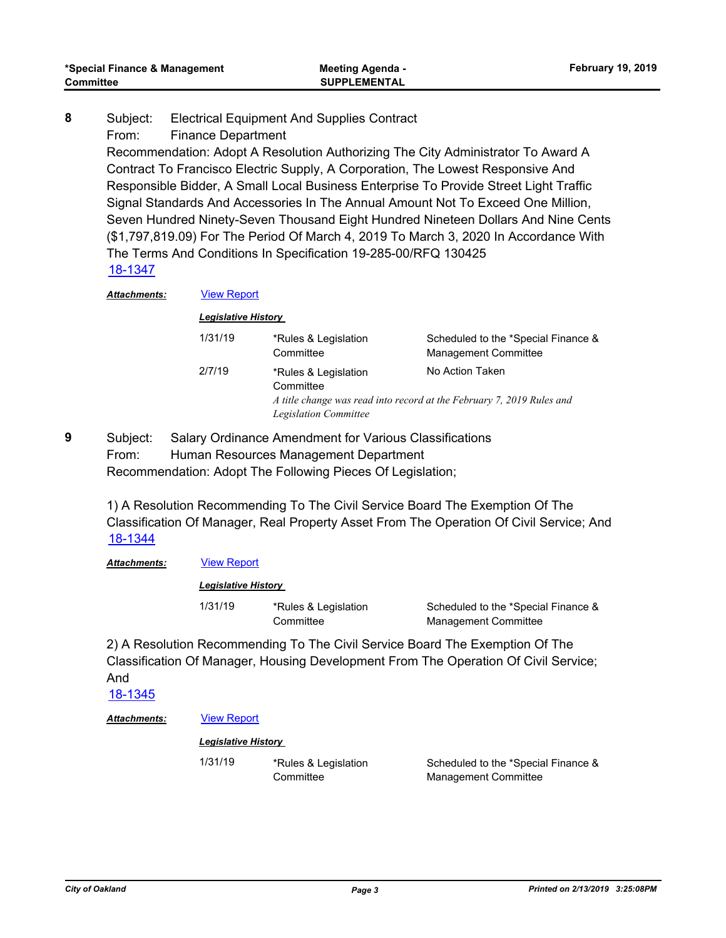Subject: Electrical Equipment And Supplies Contract From: Finance Department Recommendation: Adopt A Resolution Authorizing The City Administrator To Award A Contract To Francisco Electric Supply, A Corporation, The Lowest Responsive And Responsible Bidder, A Small Local Business Enterprise To Provide Street Light Traffic Signal Standards And Accessories In The Annual Amount Not To Exceed One Million, Seven Hundred Ninety-Seven Thousand Eight Hundred Nineteen Dollars And Nine Cents (\$1,797,819.09) For The Period Of March 4, 2019 To March 3, 2020 In Accordance With The Terms And Conditions In Specification 19-285-00/RFQ 130425 **8** [18-1347](http://oakland.legistar.com/gateway.aspx?m=l&id=/matter.aspx?key=29773)

#### *Attachments:* [View Report](http://oakland.legistar.com/gateway.aspx?M=F&ID=d3858d0a-7455-4292-b0cd-607d5651d69e.pdf)

#### *Legislative History*

| 1/31/19 | *Rules & Legislation<br>Committee                                                                                                          | Scheduled to the *Special Finance &<br><b>Management Committee</b> |
|---------|--------------------------------------------------------------------------------------------------------------------------------------------|--------------------------------------------------------------------|
| 2/7/19  | *Rules & Legislation<br>Committee<br>A title change was read into record at the February 7, 2019 Rules and<br><b>Legislation Committee</b> | No Action Taken                                                    |

Subject: Salary Ordinance Amendment for Various Classifications From: Human Resources Management Department Recommendation: Adopt The Following Pieces Of Legislation; **9**

1) A Resolution Recommending To The Civil Service Board The Exemption Of The Classification Of Manager, Real Property Asset From The Operation Of Civil Service; And [18-1344](http://oakland.legistar.com/gateway.aspx?m=l&id=/matter.aspx?key=29770)

#### *Attachments:* [View Report](http://oakland.legistar.com/gateway.aspx?M=F&ID=8ac3842e-25a3-4855-96c8-63f98f010127.pdf)

#### *Legislative History*

1/31/19 \*Rules & Legislation **Committee** 

Scheduled to the \*Special Finance & Management Committee

2) A Resolution Recommending To The Civil Service Board The Exemption Of The Classification Of Manager, Housing Development From The Operation Of Civil Service; And

[18-1345](http://oakland.legistar.com/gateway.aspx?m=l&id=/matter.aspx?key=29771)

#### *Attachments:* [View Report](http://oakland.legistar.com/gateway.aspx?M=F&ID=a7e7f62f-c3ad-4a22-848d-cc056e88660e.pdf)

#### *Legislative History*

1/31/19 \*Rules & Legislation **Committee** 

Scheduled to the \*Special Finance & Management Committee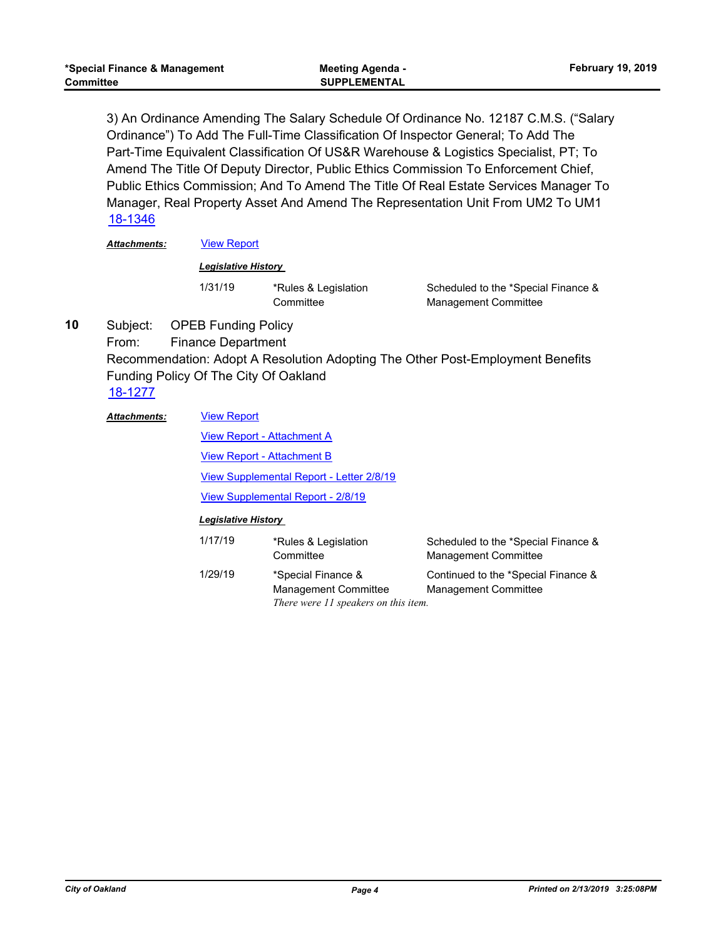3) An Ordinance Amending The Salary Schedule Of Ordinance No. 12187 C.M.S. ("Salary Ordinance") To Add The Full-Time Classification Of Inspector General; To Add The Part-Time Equivalent Classification Of US&R Warehouse & Logistics Specialist, PT; To Amend The Title Of Deputy Director, Public Ethics Commission To Enforcement Chief, Public Ethics Commission; And To Amend The Title Of Real Estate Services Manager To Manager, Real Property Asset And Amend The Representation Unit From UM2 To UM1 [18-1346](http://oakland.legistar.com/gateway.aspx?m=l&id=/matter.aspx?key=29772)

*Attachments:* [View Report](http://oakland.legistar.com/gateway.aspx?M=F&ID=6c0759f9-dc61-45fc-a1ce-837b718ed5c3.pdf)

#### *Legislative History*

1/31/19 \*Rules & Legislation **Committee** 

Scheduled to the \*Special Finance & Management Committee

Subject: OPEB Funding Policy From: Finance Department Recommendation: Adopt A Resolution Adopting The Other Post-Employment Benefits Funding Policy Of The City Of Oakland **10** [18-1277](http://oakland.legistar.com/gateway.aspx?m=l&id=/matter.aspx?key=29703)

| Attachments: | <b>View Report</b>         |                                                                                           |                                                                    |  |
|--------------|----------------------------|-------------------------------------------------------------------------------------------|--------------------------------------------------------------------|--|
|              |                            | <b>View Report - Attachment A</b>                                                         |                                                                    |  |
|              |                            | View Report - Attachment B                                                                |                                                                    |  |
|              |                            | View Supplemental Report - Letter 2/8/19<br>View Supplemental Report - 2/8/19             |                                                                    |  |
|              |                            |                                                                                           |                                                                    |  |
|              | <b>Legislative History</b> |                                                                                           |                                                                    |  |
|              | 1/17/19                    | *Rules & Legislation<br>Committee                                                         | Scheduled to the *Special Finance &<br><b>Management Committee</b> |  |
|              | 1/29/19                    | *Special Finance &<br><b>Management Committee</b><br>There were 11 speakers on this item. | Continued to the *Special Finance &<br><b>Management Committee</b> |  |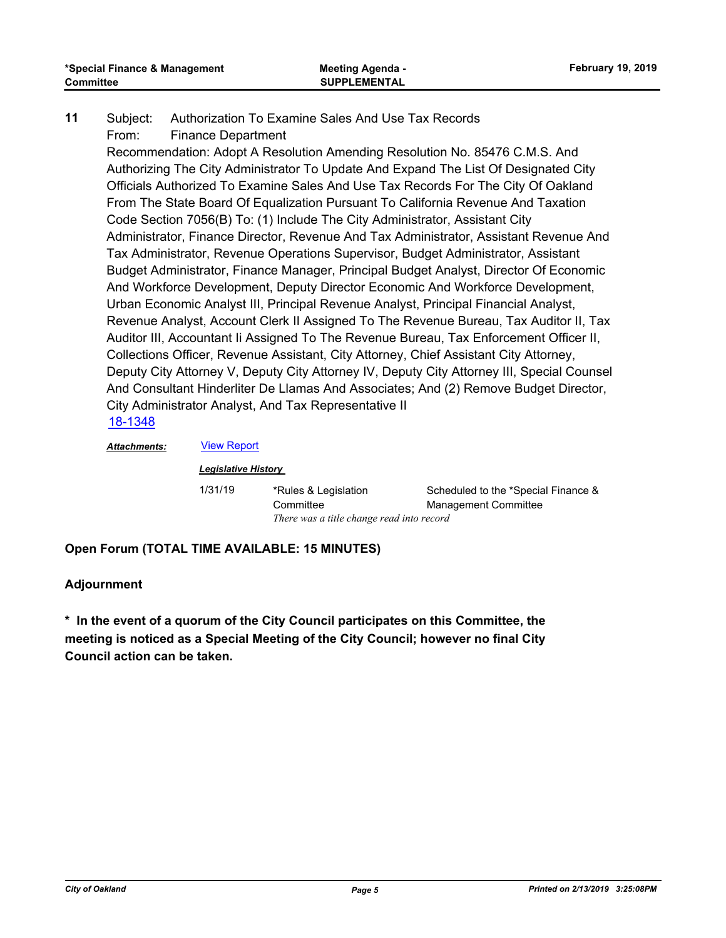#### Subject: Authorization To Examine Sales And Use Tax Records From: Finance Department **11**

Recommendation: Adopt A Resolution Amending Resolution No. 85476 C.M.S. And Authorizing The City Administrator To Update And Expand The List Of Designated City Officials Authorized To Examine Sales And Use Tax Records For The City Of Oakland From The State Board Of Equalization Pursuant To California Revenue And Taxation Code Section 7056(B) To: (1) Include The City Administrator, Assistant City Administrator, Finance Director, Revenue And Tax Administrator, Assistant Revenue And Tax Administrator, Revenue Operations Supervisor, Budget Administrator, Assistant Budget Administrator, Finance Manager, Principal Budget Analyst, Director Of Economic And Workforce Development, Deputy Director Economic And Workforce Development, Urban Economic Analyst III, Principal Revenue Analyst, Principal Financial Analyst, Revenue Analyst, Account Clerk II Assigned To The Revenue Bureau, Tax Auditor II, Tax Auditor III, Accountant Ii Assigned To The Revenue Bureau, Tax Enforcement Officer II, Collections Officer, Revenue Assistant, City Attorney, Chief Assistant City Attorney, Deputy City Attorney V, Deputy City Attorney IV, Deputy City Attorney III, Special Counsel And Consultant Hinderliter De Llamas And Associates; And (2) Remove Budget Director, City Administrator Analyst, And Tax Representative II [18-1348](http://oakland.legistar.com/gateway.aspx?m=l&id=/matter.aspx?key=29774)

*Attachments:* [View Report](http://oakland.legistar.com/gateway.aspx?M=F&ID=ff3770a2-5798-4ee5-9cc2-efff22c5bad5.pdf)

#### *Legislative History*

1/31/19 \*Rules & Legislation **Committee** Scheduled to the \*Special Finance & Management Committee *There was a title change read into record*

**Open Forum (TOTAL TIME AVAILABLE: 15 MINUTES)**

#### **Adjournment**

**\* In the event of a quorum of the City Council participates on this Committee, the meeting is noticed as a Special Meeting of the City Council; however no final City Council action can be taken.**